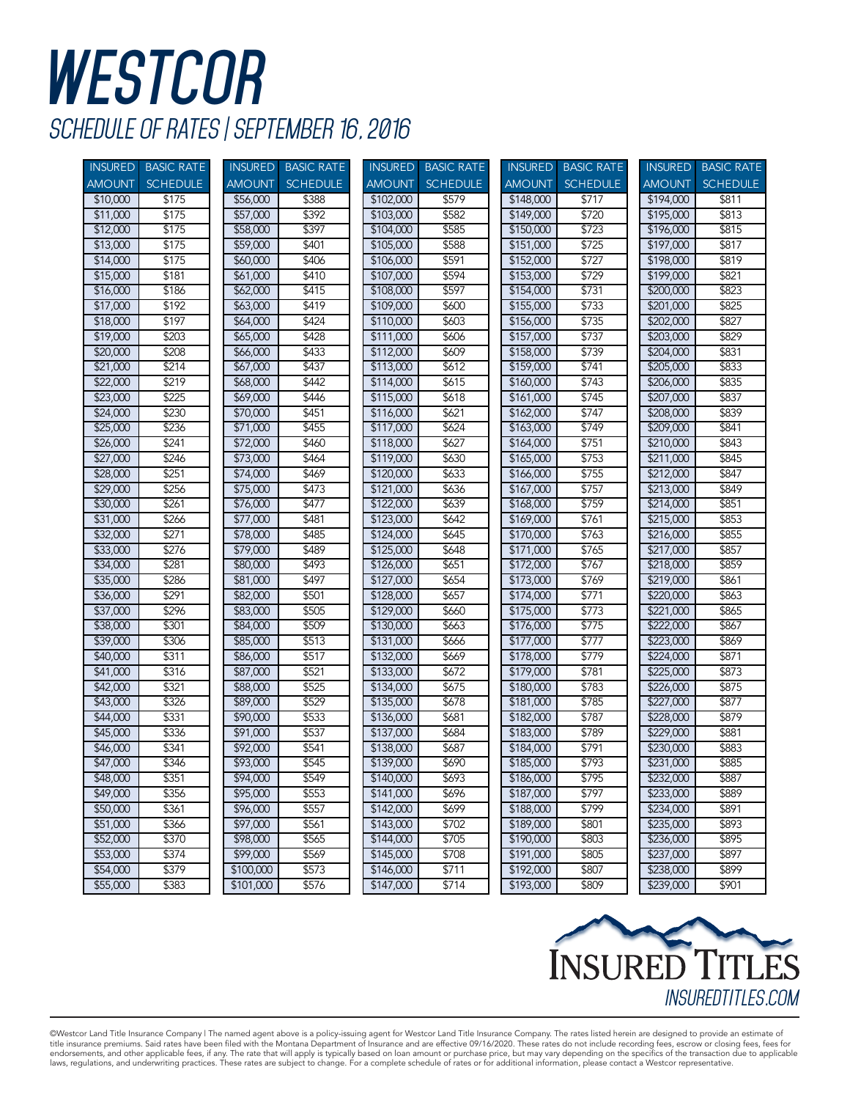## **WESTCOR** *SCHEDULE OF RATES | SEPTEMBER 16, 2016*

| <b>INSURED</b> | <b>BASIC RATE</b> |               | INSURED BASIC RATE | <b>INSURED</b> | <b>BASIC RATE</b> |               | <b>INSURED BASIC RATE</b> | <b>INSURED</b> | <b>BASIC RATE</b> |
|----------------|-------------------|---------------|--------------------|----------------|-------------------|---------------|---------------------------|----------------|-------------------|
| <b>AMOUNT</b>  | <b>SCHEDULE</b>   | <b>AMOUNT</b> | <b>SCHEDULE</b>    | <b>AMOUNT</b>  | <b>SCHEDULE</b>   | <b>AMOUNT</b> | <b>SCHEDULE</b>           | <b>AMOUNT</b>  | <b>SCHEDULE</b>   |
| \$10,000       | \$175             | \$56,000      | \$388              | \$102,000      | \$579             | \$148,000     | \$717                     | \$194,000      | \$811             |
| \$11,000       | \$175             | \$57,000      | \$392              | \$103,000      | \$582             | \$149,000     | \$720                     | \$195,000      | \$813             |
| \$12,000       | \$175             | \$58,000      | \$397              | \$104,000      | \$585             | \$150,000     | \$723                     | \$196,000      | \$815             |
| \$13,000       | \$175             | \$59,000      | \$401              | \$105,000      | \$588             | \$151,000     | \$725                     | \$197,000      | \$817             |
| \$14,000       | \$175             | \$60,000      | \$406              | \$106,000      | \$591             | \$152,000     | \$727                     | \$198,000      | \$819             |
| \$15,000       | \$181             | \$61,000      | \$410              | \$107,000      | \$594             | \$153,000     | \$729                     | \$199,000      | \$821             |
| \$16,000       | \$186             | \$62,000      | \$415              | \$108,000      | \$597             | \$154,000     | \$731                     | \$200,000      | \$823             |
| \$17,000       | \$192             | \$63,000      | \$419              | \$109,000      | \$600             | \$155,000     | \$733                     | \$201,000      | \$825             |
| \$18,000       | \$197             | \$64,000      | \$424              | \$110,000      | \$603             | \$156,000     | \$735                     | \$202,000      | \$827             |
| \$19,000       | \$203             | \$65,000      | \$428              | \$111,000      | \$606             | \$157,000     | \$737                     | \$203,000      | \$829             |
| \$20,000       | \$208             | \$66,000      | \$433              | \$112,000      | \$609             | \$158,000     | \$739                     | \$204,000      | \$831             |
| \$21,000       | \$214             | \$67,000      | \$437              | \$113,000      | \$612             | \$159,000     | \$741                     | \$205,000      | \$833             |
| \$22,000       | \$219             | \$68,000      | \$442              | \$114,000      | \$615             | \$160,000     | \$743                     | \$206,000      | \$835             |
| \$23,000       | \$225             | \$69,000      | \$446              | \$115,000      | \$618             | \$161,000     | \$745                     | \$207,000      | \$837             |
| \$24,000       | \$230             | \$70,000      | \$451              | \$116,000      | \$621             | \$162,000     | \$747                     | \$208,000      | \$839             |
| \$25,000       | \$236             | \$71,000      | \$455              | \$117,000      | \$624             | \$163,000     | \$749                     | \$209,000      | \$841             |
| \$26,000       | \$241             | \$72,000      | \$460              | \$118,000      | \$627             | \$164,000     | \$751                     | \$210,000      | \$843             |
| \$27,000       | \$246             | \$73,000      | \$464              | \$119,000      | \$630             | \$165,000     | \$753                     | \$211,000      | \$845             |
| \$28,000       | \$251             | \$74,000      | \$469              | \$120,000      | \$633             | \$166,000     | \$755                     | \$212,000      | \$847             |
| \$29,000       | \$256             | \$75,000      | \$473              | \$121,000      | \$636             | \$167,000     | \$757                     | \$213,000      | \$849             |
| \$30,000       | \$261             | \$76,000      | \$477              | \$122,000      | \$639             | \$168,000     | \$759                     | \$214,000      | \$851             |
| \$31,000       | \$266             | \$77,000      | \$481              | \$123,000      | \$642             | \$169,000     | \$761                     | \$215,000      | \$853             |
| \$32,000       | \$271             | \$78,000      | \$485              | \$124,000      | \$645             | \$170,000     | \$763                     | \$216,000      | \$855             |
| \$33,000       | \$276             | \$79,000      | \$489              | \$125,000      | \$648             | \$171,000     | \$765                     | \$217,000      | \$857             |
| \$34,000       | \$281             | \$80,000      | \$493              | \$126,000      | \$651             | \$172,000     | \$767                     | \$218,000      | \$859             |
| \$35,000       | \$286             | \$81,000      | \$497              | \$127,000      | \$654             | \$173,000     | \$769                     | \$219,000      | \$861             |
| \$36,000       | \$291             | \$82,000      | \$501              | \$128,000      | \$657             | \$174,000     | \$771                     | \$220,000      | \$863             |
| \$37,000       | \$296             | \$83,000      | \$505              | \$129,000      | \$660             | \$175,000     | \$773                     | \$221,000      | \$865             |
| \$38,000       | \$301             | \$84,000      | \$509              | \$130,000      | \$663             | \$176,000     | \$775                     | \$222,000      | \$867             |
| \$39,000       | \$306             | \$85,000      | \$513              | \$131,000      | \$666             | \$177,000     | \$777                     | \$223,000      | \$869             |
| \$40,000       | \$311             | \$86,000      | \$517              | \$132,000      | \$669             | \$178,000     | \$779                     | \$224,000      | \$871             |
| \$41,000       | \$316             | \$87,000      | \$521              | \$133,000      | \$672             | \$179,000     | \$781                     | \$225,000      | \$873             |
| \$42,000       | \$321             | \$88,000      | \$525              | \$134,000      | \$675             | \$180,000     | \$783                     | \$226,000      | \$875             |
| \$43,000       | \$326             | \$89,000      | \$529              | \$135,000      | \$678             | \$181,000     | \$785                     | \$227,000      | \$877             |
| \$44,000       | \$331             | \$90,000      | \$533              | \$136,000      | \$681             | \$182,000     | \$787                     | \$228,000      | \$879             |
| \$45,000       | \$336             | \$91,000      | \$537              | \$137,000      | \$684             | \$183,000     | \$789                     | \$229,000      | \$881             |
| \$46,000       | \$341             | \$92,000      | \$541              | \$138,000      | \$687             | \$184,000     | \$791                     | \$230,000      | \$883             |
| \$47,000       | \$346             | \$93,000      | \$545              | \$139,000      | \$690             | \$185,000     | \$793                     | \$231,000      | \$885             |
| \$48,000       | \$351             | \$94,000      | \$549              | \$140,000      | \$693             | \$186,000     | \$795                     | \$232,000      | \$887             |
| \$49,000       | \$356             | \$95,000      | \$553              | \$141,000      | \$696             | \$187,000     | \$797                     | \$233,000      | \$889             |
| \$50,000       | \$361             | \$96,000      | \$557              | \$142,000      | \$699             | \$188,000     | \$799                     | \$234,000      | \$891             |
| \$51,000       | \$366             | \$97,000      | \$561              | \$143,000      | \$702             | \$189,000     | \$801                     | \$235,000      | \$893             |
| \$52,000       | \$370             | \$98,000      | \$565              | \$144,000      | \$705             | \$190,000     | \$803                     | \$236,000      | \$895             |
| \$53,000       | \$374             | \$99,000      | \$569              | \$145,000      | \$708             | \$191,000     | \$805                     | \$237,000      | \$897             |
| \$54,000       | \$379             | \$100,000     | \$573              | \$146,000      | \$711             | \$192,000     | \$807                     | \$238,000      | \$899             |
| \$55,000       | \$383             | \$101,000     | \$576              | \$147,000      | \$714             | \$193,000     | \$809                     | \$239,000      | \$901             |



©Westcor Land Title Insurance Company | The named agent above is a policy-issuing agent for Westcor Land Title Insurance Company. The rates listed herein are designed to provide an estimate of title insurance premiums. Said rates have been filed with the Montana Department of Insurance and are effective 09/16/2020. These rates do not include recording fees, escrow or closing fees, fees for<br>endorsements, and othe